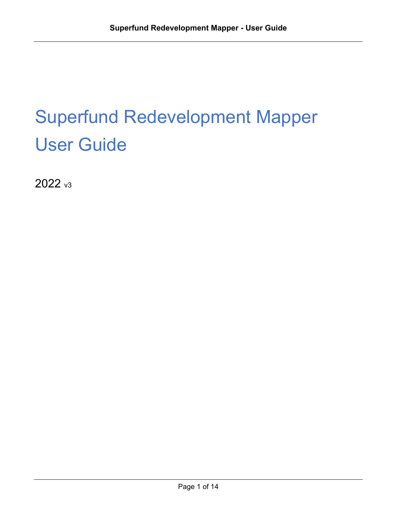# Superfund Redevelopment Mapper User Guide

2022 v<sub>3</sub>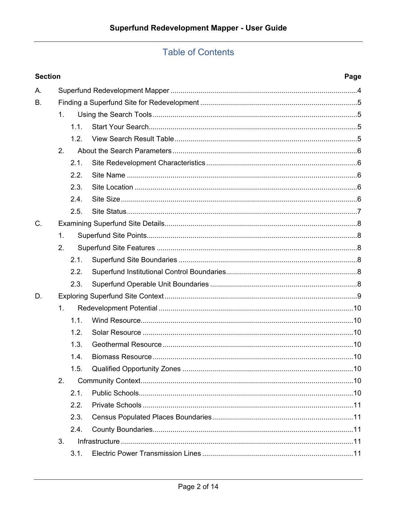# **Table of Contents**

|    | <b>Section</b> |      |  |  |  |  |
|----|----------------|------|--|--|--|--|
| А. |                |      |  |  |  |  |
| В. |                |      |  |  |  |  |
|    | 1 <sub>1</sub> |      |  |  |  |  |
|    |                | 1.1. |  |  |  |  |
|    |                | 1.2. |  |  |  |  |
|    | 2.             |      |  |  |  |  |
|    |                | 2.1. |  |  |  |  |
|    |                | 2.2. |  |  |  |  |
|    |                | 2.3. |  |  |  |  |
|    |                | 2.4. |  |  |  |  |
|    |                | 2.5. |  |  |  |  |
| C. |                |      |  |  |  |  |
|    | $\mathbf{1}$ . |      |  |  |  |  |
|    | 2.             |      |  |  |  |  |
|    |                | 2.1. |  |  |  |  |
|    |                | 2.2. |  |  |  |  |
|    |                | 2.3. |  |  |  |  |
| D. |                |      |  |  |  |  |
|    | 1 <sub>1</sub> |      |  |  |  |  |
|    |                | 1.1. |  |  |  |  |
|    |                | 1.2. |  |  |  |  |
|    |                | 1.3. |  |  |  |  |
|    |                | 1.4. |  |  |  |  |
|    |                | 1.5. |  |  |  |  |
|    | 2.             |      |  |  |  |  |
|    |                | 2.1. |  |  |  |  |
|    |                | 2.2. |  |  |  |  |
|    |                | 2.3. |  |  |  |  |
|    |                | 2.4. |  |  |  |  |
|    | 3.             |      |  |  |  |  |
|    |                | 3.1. |  |  |  |  |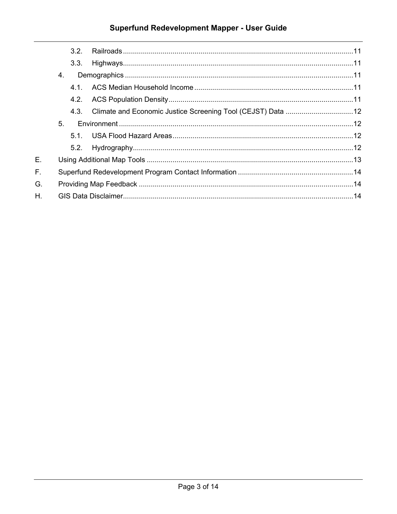# Superfund Redevelopment Mapper - User Guide

|    |    | 3.2  |  |
|----|----|------|--|
|    |    | 3.3. |  |
|    | 4. |      |  |
|    |    | 41   |  |
|    |    | 4.2. |  |
|    |    | 4.3. |  |
|    | 5. |      |  |
|    |    | 51   |  |
|    |    |      |  |
| Е. |    |      |  |
| E. |    |      |  |
| G. |    |      |  |
| H. |    |      |  |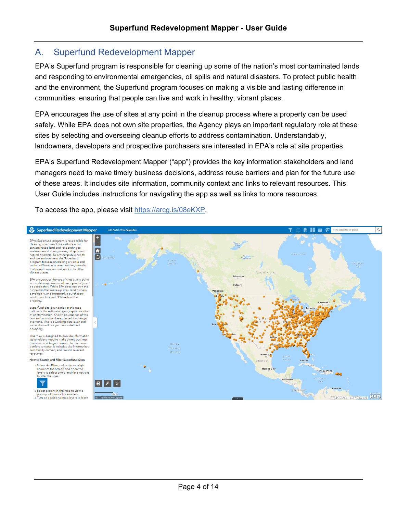## <span id="page-3-0"></span>A. Superfund Redevelopment Mapper

EPA's Superfund program is responsible for cleaning up some of the nation's most contaminated lands and responding to environmental emergencies, oil spills and natural disasters. To protect public health and the environment, the Superfund program focuses on making a visible and lasting difference in communities, ensuring that people can live and work in healthy, vibrant places.

EPA encourages the use of sites at any point in the cleanup process where a property can be used safely. While EPA does not own site properties, the Agency plays an important regulatory role at these sites by selecting and overseeing cleanup efforts to address contamination. Understandably, landowners, developers and prospective purchasers are interested in EPA's role at site properties.

EPA's Superfund Redevelopment Mapper ("app") provides the key information stakeholders and land managers need to make timely business decisions, address reuse barriers and plan for the future use of these areas. It includes site information, community context and links to relevant resources. This User Guide includes instructions for navigating the app as well as links to more resources.

To access the app, please visit [https://arcg.is/08eKXP.](https://arcg.is/08eKXP)

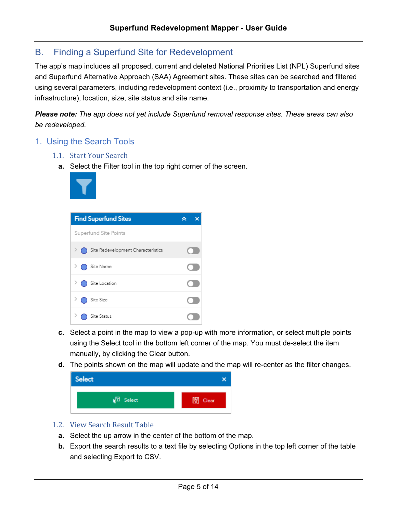# <span id="page-4-0"></span>B. Finding a Superfund Site for Redevelopment

The app's map includes all proposed, current and deleted National Priorities List (NPL) Superfund sites and Superfund Alternative Approach (SAA) Agreement sites. These sites can be searched and filtered using several parameters, including redevelopment context (i.e., proximity to transportation and energy infrastructure), location, size, site status and site name.

*Please note: The app does not yet include Superfund removal response sites. These areas can also be redeveloped.*

- <span id="page-4-2"></span><span id="page-4-1"></span>1. Using the Search Tools
	- 1.1. Start Your Search
		- **a.** Select the Filter tool in the top right corner of the screen.



| <b>Find Superfund Sites</b>        |  |
|------------------------------------|--|
| Superfund Site Points              |  |
| Site Redevelopment Characteristics |  |
| Site Name                          |  |
| Site Location                      |  |
| Site Size                          |  |
| Site Status                        |  |

- **c.** Select a point in the map to view a pop-up with more information, or select multiple points using the Select tool in the bottom left corner of the map. You must de-select the item manually, by clicking the Clear button.
- **d.** The points shown on the map will update and the map will re-center as the filter changes.



- <span id="page-4-3"></span>1.2. View Search Result Table
	- **a.** Select the up arrow in the center of the bottom of the map.
	- **b.** Export the search results to a text file by selecting Options in the top left corner of the table and selecting Export to CSV.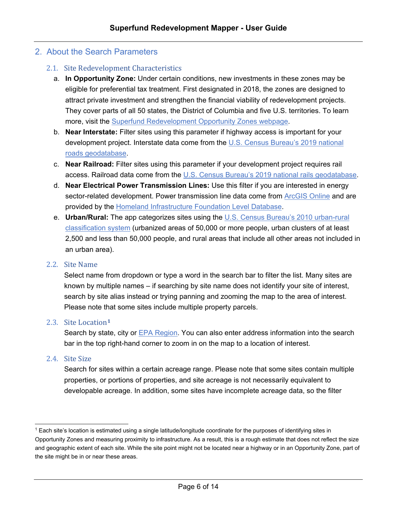#### <span id="page-5-0"></span>2. About the Search Parameters

#### <span id="page-5-1"></span>2.1. Site Redevelopment Characteristics

- a. **In Opportunity Zone:** Under certain conditions, new investments in these zones may be eligible for preferential tax treatment. First designated in 2018, the zones are designed to attract private investment and strengthen the financial viability of redevelopment projects. They cover parts of all 50 states, the District of Columbia and five U.S. territories. To learn more, visit the [Superfund Redevelopment Opportunity Zones webpage.](https://www.epa.gov/superfund-redevelopment-initiative/superfund-redevelopment-using-opportunity-zone-tax-incentives)
- b. **Near Interstate:** Filter sites using this parameter if highway access is important for your development project. Interstate data come from the U.S. Census Bureau's 2019 national [roads geodatabase.](https://www.census.gov/geographies/mapping-files/time-series/geo/tiger-geodatabase-file.html)
- c. **Near Railroad:** Filter sites using this parameter if your development project requires rail access. Railroad data come from the [U.S. Census Bureau's 2019 national rails geodatabase.](https://www.census.gov/geographies/mapping-files/time-series/geo/tiger-geodatabase-file.html)
- d. **Near Electrical Power Transmission Lines:** Use this filter if you are interested in energy sector-related development. Power transmission line data come from [ArcGIS Online](https://www.arcgis.com/home/item.html?id=70512b03fe994c6393107cc9946e5c22) and are provided by the [Homeland Infrastructure Foundation Level Database.](https://gii.dhs.gov/HIFLD)
- e. **Urban/Rural:** The app categorizes sites using the [U.S. Census Bureau's 2010 urban-rural](https://www.census.gov/programs-surveys/geography/guidance/geo-areas/urban-rural/2010-urban-rural.html)  [classification](https://www.census.gov/programs-surveys/geography/guidance/geo-areas/urban-rural/2010-urban-rural.html) system (urbanized areas of 50,000 or more people, urban clusters of at least 2,500 and less than 50,000 people, and rural areas that include all other areas not included in an urban area).

#### <span id="page-5-2"></span>2.2. Site Name

Select name from dropdown or type a word in the search bar to filter the list. Many sites are known by multiple names – if searching by site name does not identify your site of interest, search by site alias instead or trying panning and zooming the map to the area of interest. Please note that some sites include multiple property parcels.

#### <span id="page-5-3"></span>2.3. Site Location**[1](#page-5-5)**

Search by state, city or [EPA Region.](https://www.epa.gov/aboutepa/epa-organization-chart#regional) You can also enter address information into the search bar in the top right-hand corner to zoom in on the map to a location of interest.

#### <span id="page-5-4"></span>2.4. Site Size

Search for sites within a certain acreage range. Please note that some sites contain multiple properties, or portions of properties, and site acreage is not necessarily equivalent to developable acreage. In addition, some sites have incomplete acreage data, so the filter

<span id="page-5-5"></span><sup>1</sup> Each site's location is estimated using a single latitude/longitude coordinate for the purposes of identifying sites in Opportunity Zones and measuring proximity to infrastructure. As a result, this is a rough estimate that does not reflect the size and geographic extent of each site. While the site point might not be located near a highway or in an Opportunity Zone, part of the site might be in or near these areas.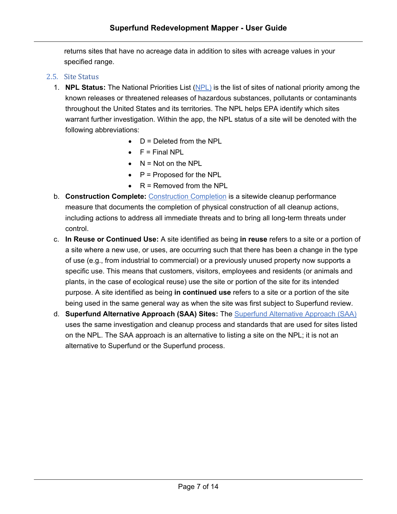returns sites that have no acreage data in addition to sites with acreage values in your specified range.

#### <span id="page-6-0"></span>2.5. Site Status

- 1. **NPL Status:** The National Priorities List [\(NPL\)](https://www.epa.gov/superfund/basic-npl-information) is the list of sites of national priority among the known releases or threatened releases of hazardous substances, pollutants or contaminants throughout the United States and its territories. The NPL helps EPA identify which sites warrant further investigation. Within the app, the NPL status of a site will be denoted with the following abbreviations:
	- $\bullet$  D = Deleted from the NPL
	- $\bullet$   $F =$  Final NPL
	- $\bullet$  N = Not on the NPL
	- $\bullet$   $\phantom{1}$  P = Proposed for the NPL
	- $\bullet$  R = Removed from the NPL
- b. **Construction Complete:** [Construction Completion](https://www.epa.gov/superfund/superfund-remedial-action-project-completion-and-construction-completions#general_anchor) is a sitewide cleanup performance measure that documents the completion of physical construction of all cleanup actions, including actions to address all immediate threats and to bring all long-term threats under control.
- c. **In Reuse or Continued Use:** A site identified as being **in reuse** refers to a site or a portion of a site where a new use, or uses, are occurring such that there has been a change in the type of use (e.g., from industrial to commercial) or a previously unused property now supports a specific use. This means that customers, visitors, employees and residents (or animals and plants, in the case of ecological reuse) use the site or portion of the site for its intended purpose. A site identified as being **in continued use** refers to a site or a portion of the site being used in the same general way as when the site was first subject to Superfund review.
- d. **Superfund Alternative Approach (SAA) Sites:** The [Superfund Alternative Approach](https://www.epa.gov/enforcement/superfund-alternative-approach) (SAA) uses the same investigation and cleanup process and standards that are used for sites listed on the NPL. The SAA approach is an alternative to listing a site on the NPL; it is not an alternative to Superfund or the Superfund process.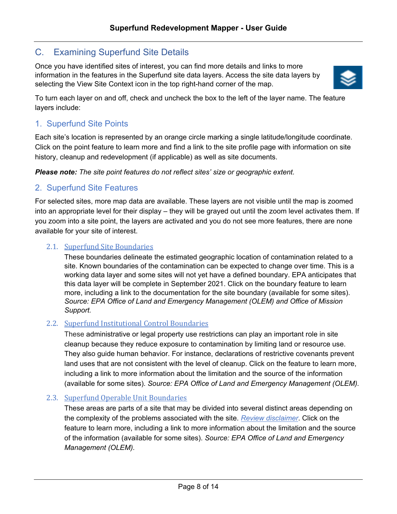# <span id="page-7-0"></span>C. Examining Superfund Site Details

Once you have identified sites of interest, you can find more details and links to more information in the features in the Superfund site data layers. Access the site data layers by selecting the View Site Context icon in the top right-hand corner of the map.



To turn each layer on and off, check and uncheck the box to the left of the layer name. The feature layers include:

### <span id="page-7-1"></span>1. Superfund Site Points

Each site's location is represented by an orange circle marking a single latitude/longitude coordinate. Click on the point feature to learn more and find a link to the site profile page with information on site history, cleanup and redevelopment (if applicable) as well as site documents.

*Please note: The site point features do not reflect sites' size or geographic extent.*

#### <span id="page-7-2"></span>2. Superfund Site Features

For selected sites, more map data are available. These layers are not visible until the map is zoomed into an appropriate level for their display – they will be grayed out until the zoom level activates them. If you zoom into a site point, the layers are activated and you do not see more features, there are none available for your site of interest.

#### 2.1. [Superfund Site Boundaries](https://epa.maps.arcgis.com/home/item.html?id=d6e1591d9a424f1fa6d95a02095a06d7)

<span id="page-7-3"></span>These boundaries delineate the estimated geographic location of contamination related to a site. Known boundaries of the contamination can be expected to change over time. This is a working data layer and some sites will not yet have a defined boundary. EPA anticipates that this data layer will be complete in September 2021. Click on the boundary feature to learn more, including a link to the documentation for the site boundary (available for some sites). *Source: EPA Office of Land and Emergency Management (OLEM) and Office of Mission Support.*

#### 2.2. [Superfund Institutional Control Boundaries](https://epa.maps.arcgis.com/home/item.html?id=27cd1f0c43904460b27e9ab21449519b)

<span id="page-7-4"></span>These administrative or legal property use restrictions can play an important role in site cleanup because they reduce exposure to contamination by limiting land or resource use. They also guide human behavior. For instance, declarations of restrictive covenants prevent land uses that are not consistent with the level of cleanup. Click on the feature to learn more, including a link to more information about the limitation and the source of the information (available for some sites). *Source: EPA Office of Land and Emergency Management (OLEM).*

#### 2.3. [Superfund Operable Unit Boundaries](https://epa.maps.arcgis.com/home/item.html?id=9fc96f0061304b02bfed55c40f2cd948)

<span id="page-7-5"></span>These areas are parts of a site that may be divided into several distinct areas depending on the complexity of the problems associated with the site. *[Review disclaimer](https://epa.maps.arcgis.com/home/item.html?id=9fc96f0061304b02bfed55c40f2cd948)*. Click on the feature to learn more, including a link to more information about the limitation and the source of the information (available for some sites). *Source: EPA Office of Land and Emergency Management (OLEM).*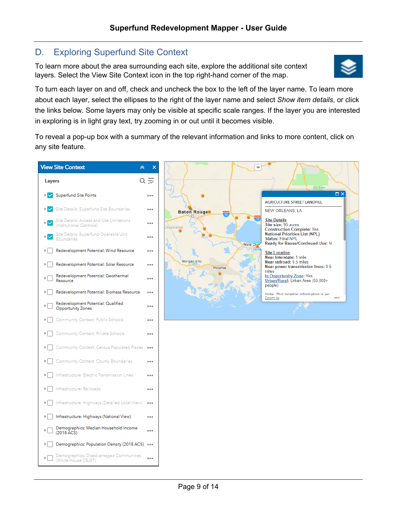# <span id="page-8-0"></span>D. Exploring Superfund Site Context

To learn more about the area surrounding each site, explore the additional site context layers. Select the View Site Context icon in the top right-hand corner of the map.



To turn each layer on and off, check and uncheck the box to the left of the layer name. To learn more about each layer, select the ellipses to the right of the layer name and select *Show item details*, or click the links below. Some layers may only be visible at specific scale ranges. If the layer you are interested in exploring is in light gray text, try zooming in or out until it becomes visible.

To reveal a pop-up box with a summary of the relevant information and links to more content, click on any site feature.

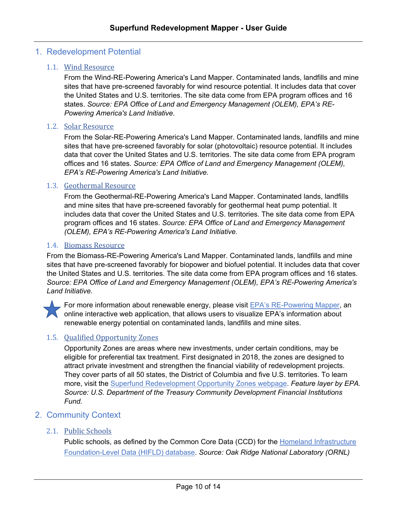#### <span id="page-9-0"></span>1. Redevelopment Potential

#### 1.1. [Wind Resource](https://epa.maps.arcgis.com/home/item.html?id=01f02d3d5ff14609801d084a69c9b180)

<span id="page-9-1"></span>From the Wind-RE-Powering America's Land Mapper. Contaminated lands, landfills and mine sites that have pre-screened favorably for wind resource potential. It includes data that cover the United States and U.S. territories. The site data come from EPA program offices and 16 states. *Source: EPA Office of Land and Emergency Management (OLEM), EPA's RE-Powering America's Land Initiative.*

#### 1.2. [Solar Resource](https://epa.maps.arcgis.com/home/item.html?id=c4d86542478b416fa2a875887862255e)

<span id="page-9-2"></span>From the Solar-RE-Powering America's Land Mapper. Contaminated lands, landfills and mine sites that have pre-screened favorably for solar (photovoltaic) resource potential. It includes data that cover the United States and U.S. territories. The site data come from EPA program offices and 16 states. *Source: EPA Office of Land and Emergency Management (OLEM), EPA's RE-Powering America's Land Initiative.*

#### 1.3. [Geothermal Resource](https://epa.maps.arcgis.com/home/item.html?id=fe7b45e397fe47609e582987a5c770b4)

<span id="page-9-3"></span>From the Geothermal-RE-Powering America's Land Mapper. Contaminated lands, landfills and mine sites that have pre-screened favorably for geothermal heat pump potential. It includes data that cover the United States and U.S. territories. The site data come from EPA program offices and 16 states. *Source: EPA Office of Land and Emergency Management (OLEM), EPA's RE-Powering America's Land Initiative.*

#### <span id="page-9-4"></span>1.4. [Biomass Resource](https://epa.maps.arcgis.com/home/item.html?id=107f47205ef249c78cf4adf6fb9b3a46)

From the Biomass-RE-Powering America's Land Mapper. Contaminated lands, landfills and mine sites that have pre-screened favorably for biopower and biofuel potential. It includes data that cover the United States and U.S. territories. The site data come from EPA program offices and 16 states. *Source: EPA Office of Land and Emergency Management (OLEM), EPA's RE-Powering America's Land Initiative.*



For more information about renewable energy, please visit **EPA's RE-Powering Mapper**, an online interactive web application, that allows users to visualize EPA's information about renewable energy potential on contaminated lands, landfills and mine sites.

#### 1.5. [Qualified Opportunity Zones](https://epa.maps.arcgis.com/home/item.html?id=a643764949a04383ae9e167ef9e0b0c1)

<span id="page-9-5"></span>Opportunity Zones are areas where new investments, under certain conditions, may be eligible for preferential tax treatment. First designated in 2018, the zones are designed to attract private investment and strengthen the financial viability of redevelopment projects. They cover parts of all 50 states, the District of Columbia and five U.S. territories. To learn more, visit the [Superfund Redevelopment Opportunity Zones webpage.](https://www.epa.gov/superfund-redevelopment-initiative/superfund-redevelopment-using-opportunity-zone-tax-incentives) *Feature layer by EPA. Source: U.S. Department of the Treasury Community Development Financial Institutions Fund.*

#### <span id="page-9-6"></span>2. Community Context

#### 2.1. [Public Schools](https://epa.maps.arcgis.com/home/item.html?id=87376bdb0cb3490cbda39935626f6604)

<span id="page-9-7"></span>Public schools, as defined by the Common Core Data (CCD) for the Homeland Infrastructure [Foundation-Level Data \(HIFLD\) database.](https://gii.dhs.gov/HIFLD) *Source: Oak Ridge National Laboratory (ORNL)*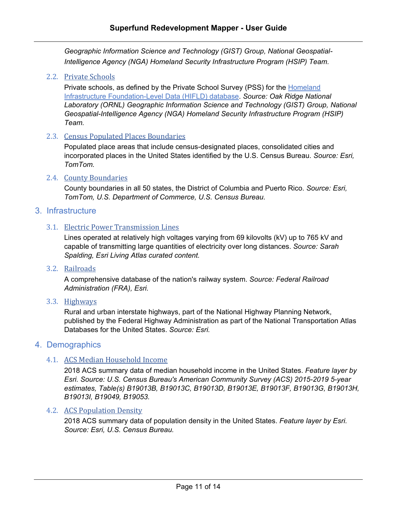*Geographic Information Science and Technology (GIST) Group, National Geospatial-Intelligence Agency (NGA) Homeland Security Infrastructure Program (HSIP) Team.*

#### 2.2. [Private Schools](https://epa.maps.arcgis.com/home/item.html?id=0dfe37d2a68545a699b999804354dacf)

<span id="page-10-0"></span>Private schools, as defined by the Private School Survey (PSS) for the [Homeland](https://gii.dhs.gov/HIFLD)  [Infrastructure Foundation-Level Data \(HIFLD\) database.](https://gii.dhs.gov/HIFLD) *Source: Oak Ridge National Laboratory (ORNL) Geographic Information Science and Technology (GIST) Group, National Geospatial-Intelligence Agency (NGA) Homeland Security Infrastructure Program (HSIP) Team.*

#### 2.3. [Census Populated Places Boundaries](https://epa.maps.arcgis.com/home/item.html?id=d8e6e822e6b44d80b4d3b5fe7538576d)

<span id="page-10-1"></span>Populated place areas that include census-designated places, consolidated cities and incorporated places in the United States identified by the U.S. Census Bureau. *Source: Esri, TomTom.*

#### 2.4. [County Boundaries](https://epa.maps.arcgis.com/home/item.html?id=48f9af87daa241c4b267c5931ad3b226)

<span id="page-10-2"></span>County boundaries in all 50 states, the District of Columbia and Puerto Rico. *Source: Esri, TomTom, U.S. Department of Commerce, U.S. Census Bureau.*

#### <span id="page-10-3"></span>3. Infrastructure

#### 3.1. [Electric Power Transmission Lines](https://epa.maps.arcgis.com/home/item.html?id=70512b03fe994c6393107cc9946e5c22)

<span id="page-10-4"></span>Lines operated at relatively high voltages varying from 69 kilovolts (kV) up to 765 kV and capable of transmitting large quantities of electricity over long distances. *Source: Sarah Spalding, Esri Living Atlas curated content.*

#### 3.2. [Railroads](https://epa.maps.arcgis.com/home/item.html?id=d209f26edc86485a9c631311e50d9940)

<span id="page-10-5"></span>A comprehensive database of the nation's railway system. *Source: Federal Railroad Administration (FRA), Esri.*

3.3. [Highways](https://epa.maps.arcgis.com/home/item.html?id=91c6a5f6410b4991ab0db1d7c26daacb)

<span id="page-10-6"></span>Rural and urban interstate highways, part of the National Highway Planning Network, published by the Federal Highway Administration as part of the National Transportation Atlas Databases for the United States. *Source: Esri.*

#### <span id="page-10-7"></span>4. Demographics

#### 4.1. [ACS Median Household Income](https://epa.maps.arcgis.com/home/item.html?id=45ede6d6ff7e4cbbbffa60d34227e462)

<span id="page-10-8"></span>2018 ACS summary data of median household income in the United States. *Feature layer by Esri. Source: U.S. Census Bureau's American Community Survey (ACS) 2015-2019 5-year estimates, Table(s) B19013B, B19013C, B19013D, B19013E, B19013F, B19013G, B19013H, B19013I, B19049, B19053.*

#### <span id="page-10-9"></span>4.2. ACS [Population Density](https://www.arcgis.com/home/item.html?id=b9095ebdf5e8442588ab3f269dc7ee5e)

2018 ACS summary data of population density in the United States. *Feature layer by Esri. Source: Esri, U.S. Census Bureau.*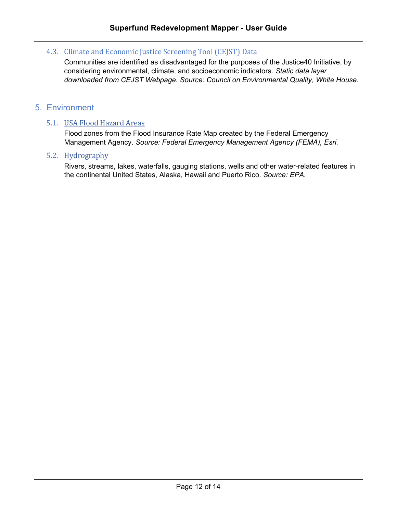#### 4.3. [Climate and Economic Justice Screening Tool](https://screeningtool.geoplatform.gov/en/cejst#3/33.47/-97.5) (CEJST) Data

<span id="page-11-0"></span>Communities are identified as disadvantaged for the purposes of the Justice40 Initiative, by considering environmental, climate, and socioeconomic indicators. *Static data layer downloaded from CEJST Webpage. Source: Council on Environmental Quality, White House.*

#### <span id="page-11-1"></span>5. Environment

#### 5.1. [USA Flood Hazard Areas](https://epa.maps.arcgis.com/home/item.html?id=11955f1b47ec41a3af86650824e0c634)

<span id="page-11-2"></span>Flood zones from the Flood Insurance Rate Map created by the Federal Emergency Management Agency. *Source: Federal Emergency Management Agency (FEMA), Esri.*

#### 5.2. [Hydrography](https://epa.maps.arcgis.com/home/item.html?id=99fe2ebfe47a4c66a2a2527448e032b2)

<span id="page-11-3"></span>Rivers, streams, lakes, waterfalls, gauging stations, wells and other water-related features in the continental United States, Alaska, Hawaii and Puerto Rico. *Source: EPA.*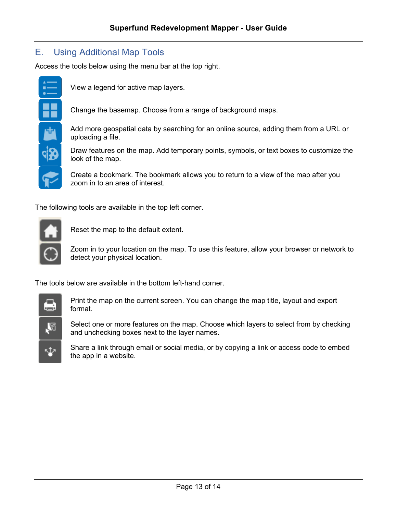# <span id="page-12-0"></span>E. Using Additional Map Tools

Access the tools below using the menu bar at the top right.



View a legend for active map layers.

Change the basemap. Choose from a range of background maps.

Add more geospatial data by searching for an online source, adding them from a URL or uploading a file.

Draw features on the map. Add temporary points, symbols, or text boxes to customize the look of the map.

Create a bookmark. The bookmark allows you to return to a view of the map after you zoom in to an area of interest.

The following tools are available in the top left corner.



Reset the map to the default extent.

Zoom in to your location on the map. To use this feature, allow your browser or network to detect your physical location.

The tools below are available in the bottom left-hand corner.



Print the map on the current screen. You can change the map title, layout and export format.

Select one or more features on the map. Choose which layers to select from by checking and unchecking boxes next to the layer names.

Share a link through email or social media, or by copying a link or access code to embed the app in a website.